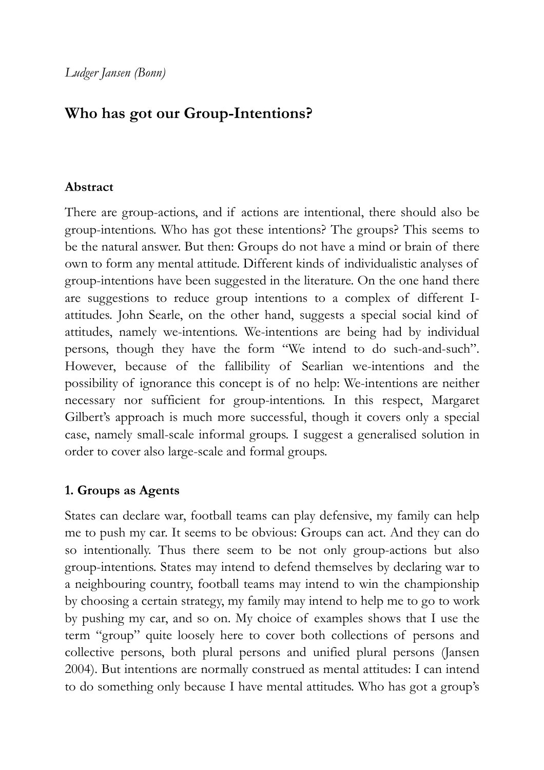# **Who has got our Group-Intentions?**

### **Abstract**

There are group-actions, and if actions are intentional, there should also be group-intentions. Who has got these intentions? The groups? This seems to be the natural answer. But then: Groups do not have a mind or brain of there own to form any mental attitude. Different kinds of individualistic analyses of group-intentions have been suggested in the literature. On the one hand there are suggestions to reduce group intentions to a complex of different Iattitudes. John Searle, on the other hand, suggests a special social kind of attitudes, namely we-intentions. We-intentions are being had by individual persons, though they have the form "We intend to do such-and-such". However, because of the fallibility of Searlian we-intentions and the possibility of ignorance this concept is of no help: We-intentions are neither necessary nor sufficient for group-intentions. In this respect, Margaret Gilbert's approach is much more successful, though it covers only a special case, namely small-scale informal groups. I suggest a generalised solution in order to cover also large-scale and formal groups.

# **1. Groups as Agents**

States can declare war, football teams can play defensive, my family can help me to push my car. It seems to be obvious: Groups can act. And they can do so intentionally. Thus there seem to be not only group-actions but also group-intentions. States may intend to defend themselves by declaring war to a neighbouring country, football teams may intend to win the championship by choosing a certain strategy, my family may intend to help me to go to work by pushing my car, and so on. My choice of examples shows that I use the term "group" quite loosely here to cover both collections of persons and collective persons, both plural persons and unified plural persons (Jansen 2004). But intentions are normally construed as mental attitudes: I can intend to do something only because I have mental attitudes. Who has got a group's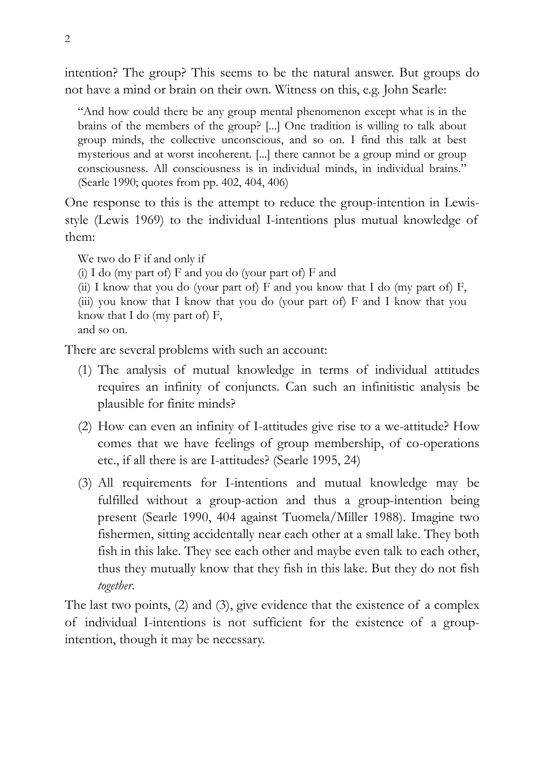intention? The group? This seems to be the natural answer. But groups do not have a mind or brain on their own. Witness on this, e.g. John Searle:

"And how could there be any group mental phenomenon except what is in the brains of the members of the group? [...] One tradition is willing to talk about group minds, the collective unconscious, and so on. I find this talk at best mysterious and at worst incoherent. [...] there cannot be a group mind or group consciousness. All consciousness is in individual minds, in individual brains." (Searle 1990; quotes from pp. 402, 404, 406)

One response to this is the attempt to reduce the group-intention in Lewisstyle (Lewis 1969) to the individual I-intentions plus mutual knowledge of them:

We two do F if and only if

(i) I do (my part of)  $F$  and you do (your part of)  $F$  and

(ii) I know that you do (your part of) F and you know that I do (my part of) F, (iii) you know that I know that you do (your part of) F and I know that you know that I do (my part of)  $F$ , and so on.

There are several problems with such an account:

- (1) The analysis of mutual knowledge in terms of individual attitudes requires an infinity of conjuncts. Can such an infinitistic analysis be plausible for finite minds?
- (2) How can even an infinity of I-attitudes give rise to a we-attitude? How comes that we have feelings of group membership, of co-operations etc., if all there is are I-attitudes? (Searle 1995, 24)
- (3) All requirements for I-intentions and mutual knowledge may be fulfilled without a group-action and thus a group-intention being present (Searle 1990, 404 against Tuomela/Miller 1988). Imagine two fishermen, sitting accidentally near each other at a small lake. They both fish in this lake. They see each other and maybe even talk to each other, thus they mutually know that they fish in this lake. But they do not fish *together*.

The last two points, (2) and (3), give evidence that the existence of a complex of individual I-intentions is not sufficient for the existence of a groupintention, though it may be necessary.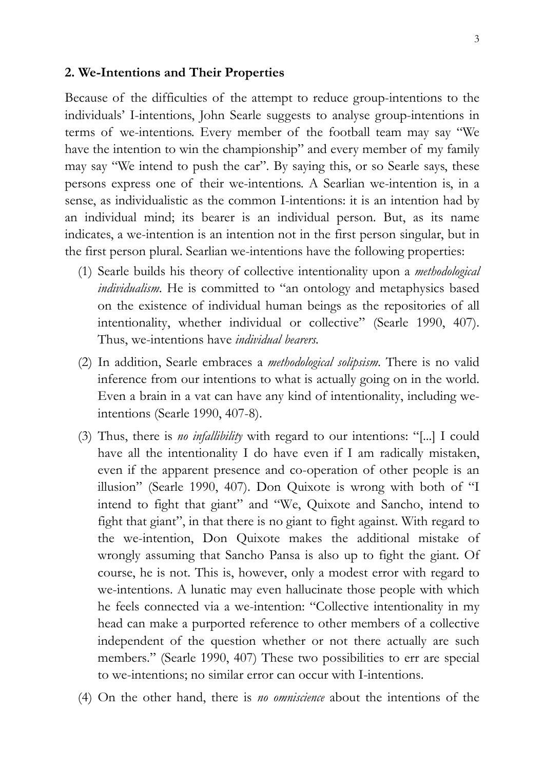#### **2. We-Intentions and Their Properties**

Because of the difficulties of the attempt to reduce group-intentions to the individuals' I-intentions, John Searle suggests to analyse group-intentions in terms of we-intentions. Every member of the football team may say "We have the intention to win the championship" and every member of my family may say "We intend to push the car". By saying this, or so Searle says, these persons express one of their we-intentions. A Searlian we-intention is, in a sense, as individualistic as the common I-intentions: it is an intention had by an individual mind; its bearer is an individual person. But, as its name indicates, a we-intention is an intention not in the first person singular, but in the first person plural. Searlian we-intentions have the following properties:

- (1) Searle builds his theory of collective intentionality upon a *methodological individualism*. He is committed to "an ontology and metaphysics based on the existence of individual human beings as the repositories of all intentionality, whether individual or collective" (Searle 1990, 407). Thus, we-intentions have *individual bearers.*
- (2) In addition, Searle embraces a *methodological solipsism*. There is no valid inference from our intentions to what is actually going on in the world. Even a brain in a vat can have any kind of intentionality, including weintentions (Searle 1990, 407-8).
- (3) Thus, there is *no infallibility* with regard to our intentions: "[...] I could have all the intentionality I do have even if I am radically mistaken, even if the apparent presence and co-operation of other people is an illusion" (Searle 1990, 407). Don Quixote is wrong with both of "I intend to fight that giant" and "We, Quixote and Sancho, intend to fight that giant", in that there is no giant to fight against. With regard to the we-intention, Don Quixote makes the additional mistake of wrongly assuming that Sancho Pansa is also up to fight the giant. Of course, he is not. This is, however, only a modest error with regard to we-intentions. A lunatic may even hallucinate those people with which he feels connected via a we-intention: "Collective intentionality in my head can make a purported reference to other members of a collective independent of the question whether or not there actually are such members." (Searle 1990, 407) These two possibilities to err are special to we-intentions; no similar error can occur with I-intentions.
- (4) On the other hand, there is *no omniscience* about the intentions of the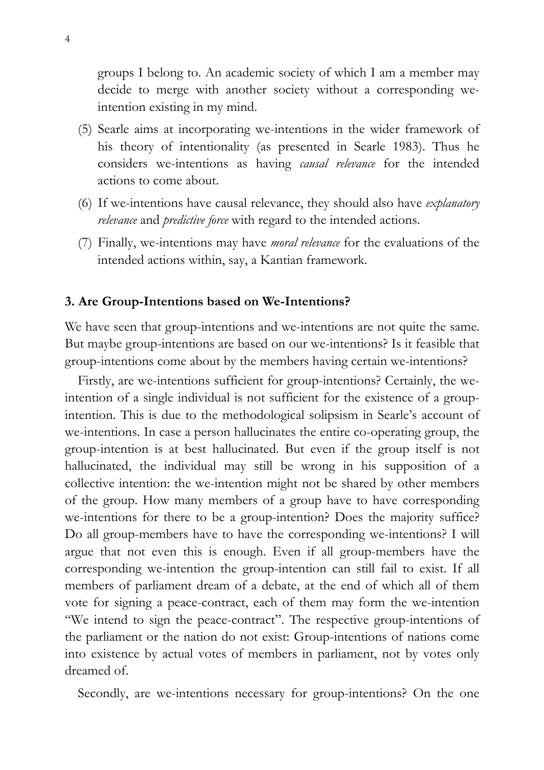groups I belong to. An academic society of which I am a member may decide to merge with another society without a corresponding weintention existing in my mind.

- (5) Searle aims at incorporating we-intentions in the wider framework of his theory of intentionality (as presented in Searle 1983). Thus he considers we-intentions as having *causal relevance* for the intended actions to come about.
- (6) If we-intentions have causal relevance, they should also have *explanatory relevance* and *predictive force* with regard to the intended actions.
- (7) Finally, we-intentions may have *moral relevance* for the evaluations of the intended actions within, say, a Kantian framework.

#### **3. Are Group-Intentions based on We-Intentions?**

We have seen that group-intentions and we-intentions are not quite the same. But maybe group-intentions are based on our we-intentions? Is it feasible that group-intentions come about by the members having certain we-intentions?

Firstly, are we-intentions sufficient for group-intentions? Certainly, the weintention of a single individual is not sufficient for the existence of a groupintention. This is due to the methodological solipsism in Searle's account of we-intentions. In case a person hallucinates the entire co-operating group, the group-intention is at best hallucinated. But even if the group itself is not hallucinated, the individual may still be wrong in his supposition of a collective intention: the we-intention might not be shared by other members of the group. How many members of a group have to have corresponding we-intentions for there to be a group-intention? Does the majority suffice? Do all group-members have to have the corresponding we-intentions? I will argue that not even this is enough. Even if all group-members have the corresponding we-intention the group-intention can still fail to exist. If all members of parliament dream of a debate, at the end of which all of them vote for signing a peace-contract, each of them may form the we-intention "We intend to sign the peace-contract". The respective group-intentions of the parliament or the nation do not exist: Group-intentions of nations come into existence by actual votes of members in parliament, not by votes only dreamed of.

Secondly, are we-intentions necessary for group-intentions? On the one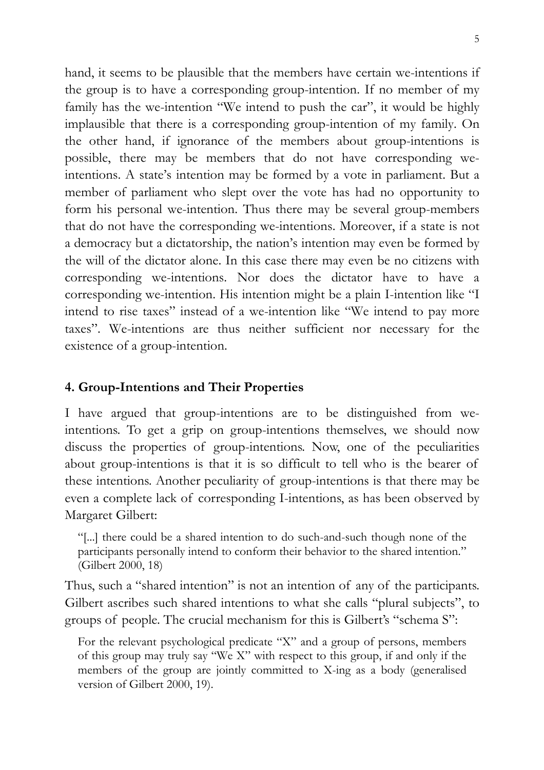hand, it seems to be plausible that the members have certain we-intentions if the group is to have a corresponding group-intention. If no member of my family has the we-intention "We intend to push the car", it would be highly implausible that there is a corresponding group-intention of my family. On the other hand, if ignorance of the members about group-intentions is possible, there may be members that do not have corresponding weintentions. A state's intention may be formed by a vote in parliament. But a member of parliament who slept over the vote has had no opportunity to form his personal we-intention. Thus there may be several group-members that do not have the corresponding we-intentions. Moreover, if a state is not a democracy but a dictatorship, the nation's intention may even be formed by the will of the dictator alone. In this case there may even be no citizens with corresponding we-intentions. Nor does the dictator have to have a corresponding we-intention. His intention might be a plain I-intention like "I intend to rise taxes" instead of a we-intention like "We intend to pay more taxes". We-intentions are thus neither sufficient nor necessary for the existence of a group-intention.

# **4. Group-Intentions and Their Properties**

I have argued that group-intentions are to be distinguished from weintentions. To get a grip on group-intentions themselves, we should now discuss the properties of group-intentions. Now, one of the peculiarities about group-intentions is that it is so difficult to tell who is the bearer of these intentions. Another peculiarity of group-intentions is that there may be even a complete lack of corresponding I-intentions, as has been observed by Margaret Gilbert:

"[...] there could be a shared intention to do such-and-such though none of the participants personally intend to conform their behavior to the shared intention." (Gilbert 2000, 18)

Thus, such a "shared intention" is not an intention of any of the participants. Gilbert ascribes such shared intentions to what she calls "plural subjects", to groups of people. The crucial mechanism for this is Gilbert's "schema S":

For the relevant psychological predicate "X" and a group of persons, members of this group may truly say "We X" with respect to this group, if and only if the members of the group are jointly committed to X-ing as a body (generalised version of Gilbert 2000, 19).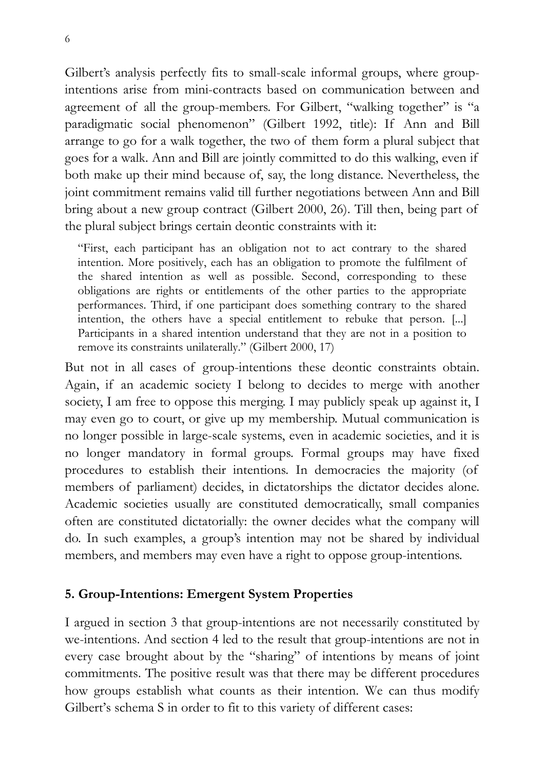Gilbert's analysis perfectly fits to small-scale informal groups, where groupintentions arise from mini-contracts based on communication between and agreement of all the group-members. For Gilbert, "walking together" is "a paradigmatic social phenomenon" (Gilbert 1992, title): If Ann and Bill arrange to go for a walk together, the two of them form a plural subject that goes for a walk. Ann and Bill are jointly committed to do this walking, even if both make up their mind because of, say, the long distance. Nevertheless, the joint commitment remains valid till further negotiations between Ann and Bill bring about a new group contract (Gilbert 2000, 26). Till then, being part of the plural subject brings certain deontic constraints with it:

"First, each participant has an obligation not to act contrary to the shared intention. More positively, each has an obligation to promote the fulfilment of the shared intention as well as possible. Second, corresponding to these obligations are rights or entitlements of the other parties to the appropriate performances. Third, if one participant does something contrary to the shared intention, the others have a special entitlement to rebuke that person. [...] Participants in a shared intention understand that they are not in a position to remove its constraints unilaterally." (Gilbert 2000, 17)

But not in all cases of group-intentions these deontic constraints obtain. Again, if an academic society I belong to decides to merge with another society, I am free to oppose this merging. I may publicly speak up against it, I may even go to court, or give up my membership. Mutual communication is no longer possible in large-scale systems, even in academic societies, and it is no longer mandatory in formal groups. Formal groups may have fixed procedures to establish their intentions. In democracies the majority (of members of parliament) decides, in dictatorships the dictator decides alone. Academic societies usually are constituted democratically, small companies often are constituted dictatorially: the owner decides what the company will do. In such examples, a group's intention may not be shared by individual members, and members may even have a right to oppose group-intentions.

# **5. Group-Intentions: Emergent System Properties**

I argued in section 3 that group-intentions are not necessarily constituted by we-intentions. And section 4 led to the result that group-intentions are not in every case brought about by the "sharing" of intentions by means of joint commitments. The positive result was that there may be different procedures how groups establish what counts as their intention. We can thus modify Gilbert's schema S in order to fit to this variety of different cases: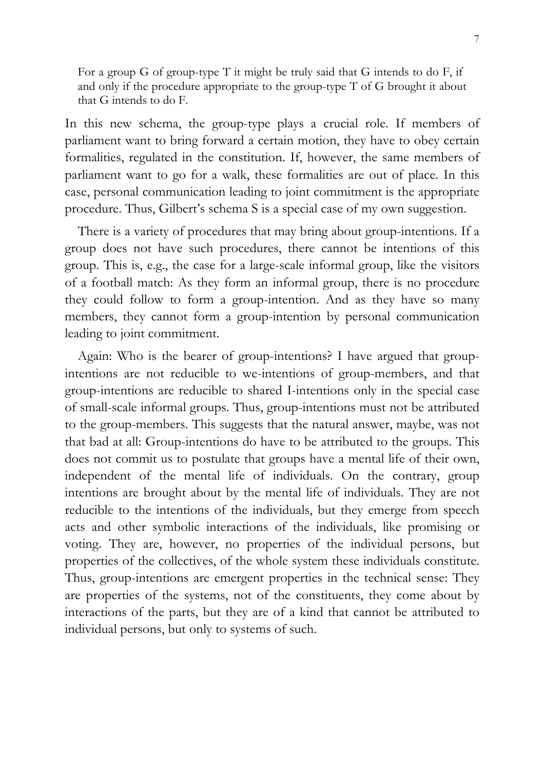For a group G of group-type T it might be truly said that G intends to do F, if and only if the procedure appropriate to the group-type T of G brought it about that G intends to do F.

In this new schema, the group-type plays a crucial role. If members of parliament want to bring forward a certain motion, they have to obey certain formalities, regulated in the constitution. If, however, the same members of parliament want to go for a walk, these formalities are out of place. In this case, personal communication leading to joint commitment is the appropriate procedure. Thus, Gilbert's schema S is a special case of my own suggestion.

There is a variety of procedures that may bring about group-intentions. If a group does not have such procedures, there cannot be intentions of this group. This is, e.g., the case for a large-scale informal group, like the visitors of a football match: As they form an informal group, there is no procedure they could follow to form a group-intention. And as they have so many members, they cannot form a group-intention by personal communication leading to joint commitment.

Again: Who is the bearer of group-intentions? I have argued that groupintentions are not reducible to we-intentions of group-members, and that group-intentions are reducible to shared I-intentions only in the special case of small-scale informal groups. Thus, group-intentions must not be attributed to the group-members. This suggests that the natural answer, maybe, was not that bad at all: Group-intentions do have to be attributed to the groups. This does not commit us to postulate that groups have a mental life of their own, independent of the mental life of individuals. On the contrary, group intentions are brought about by the mental life of individuals. They are not reducible to the intentions of the individuals, but they emerge from speech acts and other symbolic interactions of the individuals, like promising or voting. They are, however, no properties of the individual persons, but properties of the collectives, of the whole system these individuals constitute. Thus, group-intentions are emergent properties in the technical sense: They are properties of the systems, not of the constituents, they come about by interactions of the parts, but they are of a kind that cannot be attributed to individual persons, but only to systems of such.